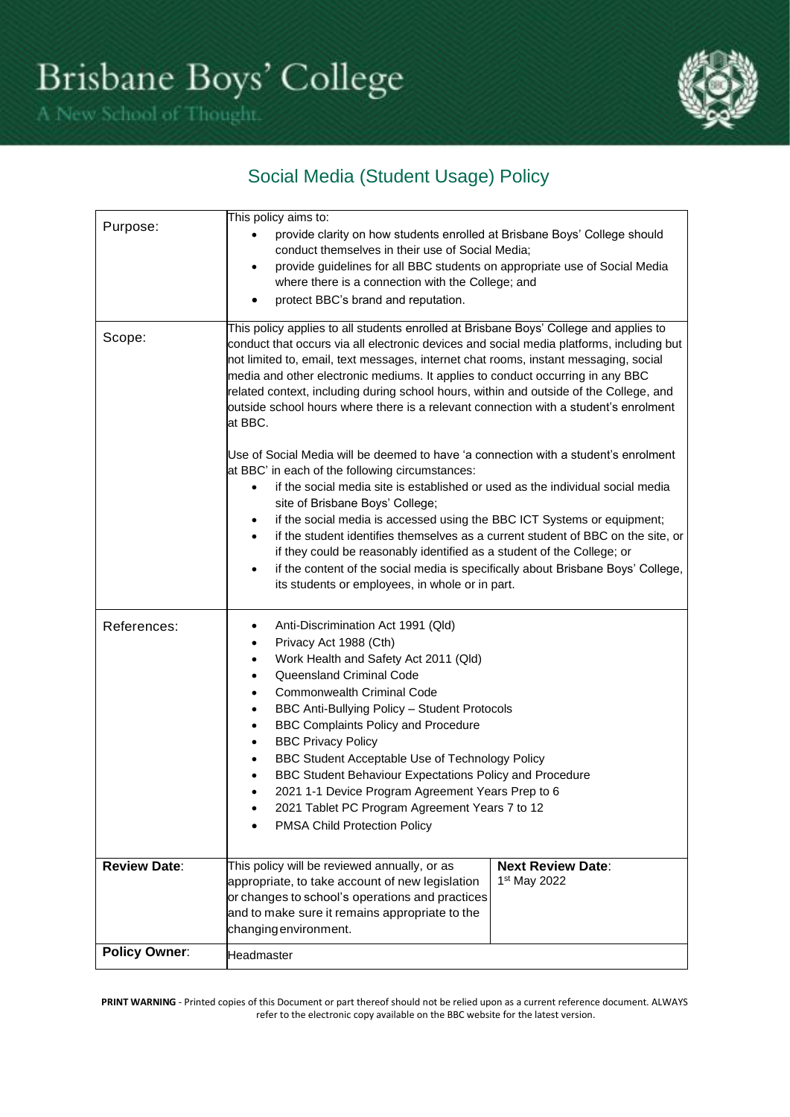

# Social Media (Student Usage) Policy

| Purpose:             | This policy aims to:<br>provide clarity on how students enrolled at Brisbane Boys' College should<br>conduct themselves in their use of Social Media;<br>provide guidelines for all BBC students on appropriate use of Social Media<br>٠<br>where there is a connection with the College; and<br>protect BBC's brand and reputation.                                                                                                                                                                                                                                                                                                                                                          |                                                      |  |
|----------------------|-----------------------------------------------------------------------------------------------------------------------------------------------------------------------------------------------------------------------------------------------------------------------------------------------------------------------------------------------------------------------------------------------------------------------------------------------------------------------------------------------------------------------------------------------------------------------------------------------------------------------------------------------------------------------------------------------|------------------------------------------------------|--|
| Scope:               | This policy applies to all students enrolled at Brisbane Boys' College and applies to<br>conduct that occurs via all electronic devices and social media platforms, including but<br>not limited to, email, text messages, internet chat rooms, instant messaging, social<br>media and other electronic mediums. It applies to conduct occurring in any BBC<br>related context, including during school hours, within and outside of the College, and<br>outside school hours where there is a relevant connection with a student's enrolment<br>at BBC.<br>Use of Social Media will be deemed to have 'a connection with a student's enrolment                                               |                                                      |  |
|                      | at BBC' in each of the following circumstances:<br>if the social media site is established or used as the individual social media<br>$\bullet$<br>site of Brisbane Boys' College;<br>if the social media is accessed using the BBC ICT Systems or equipment;<br>$\bullet$<br>if the student identifies themselves as a current student of BBC on the site, or<br>$\bullet$<br>if they could be reasonably identified as a student of the College; or<br>if the content of the social media is specifically about Brisbane Boys' College,<br>$\bullet$<br>its students or employees, in whole or in part.                                                                                      |                                                      |  |
| References:          | Anti-Discrimination Act 1991 (Qld)<br>٠<br>Privacy Act 1988 (Cth)<br>$\bullet$<br>Work Health and Safety Act 2011 (Qld)<br>$\bullet$<br>Queensland Criminal Code<br>$\bullet$<br><b>Commonwealth Criminal Code</b><br>$\bullet$<br>BBC Anti-Bullying Policy - Student Protocols<br>$\bullet$<br><b>BBC Complaints Policy and Procedure</b><br>$\bullet$<br><b>BBC Privacy Policy</b><br>$\bullet$<br>BBC Student Acceptable Use of Technology Policy<br>$\bullet$<br>BBC Student Behaviour Expectations Policy and Procedure<br>$\bullet$<br>2021 1-1 Device Program Agreement Years Prep to 6<br>$\bullet$<br>2021 Tablet PC Program Agreement Years 7 to 12<br>PMSA Child Protection Policy |                                                      |  |
| <b>Review Date:</b>  | This policy will be reviewed annually, or as<br>appropriate, to take account of new legislation<br>or changes to school's operations and practices<br>and to make sure it remains appropriate to the<br>changing environment.                                                                                                                                                                                                                                                                                                                                                                                                                                                                 | <b>Next Review Date:</b><br>1 <sup>st</sup> May 2022 |  |
| <b>Policy Owner:</b> | Headmaster                                                                                                                                                                                                                                                                                                                                                                                                                                                                                                                                                                                                                                                                                    |                                                      |  |

PRINT WARNING - Printed copies of this Document or part thereof should not be relied upon as a current reference document. ALWAYS refer to the electronic copy available on the BBC website for the latest version.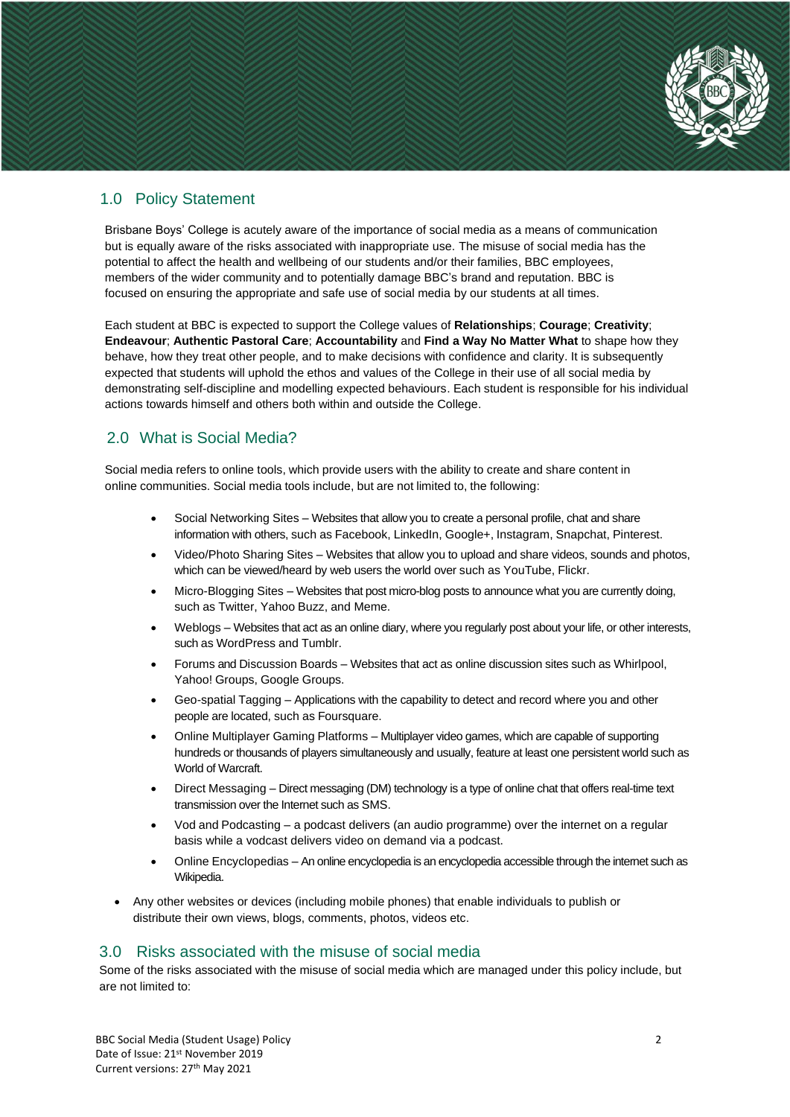

## 1.0 Policy Statement

Brisbane Boys' College is acutely aware of the importance of social media as a means of communication but is equally aware of the risks associated with inappropriate use. The misuse of social media has the potential to affect the health and wellbeing of our students and/or their families, BBC employees, members of the wider community and to potentially damage BBC's brand and reputation. BBC is focused on ensuring the appropriate and safe use of social media by our students at all times.

Each student at BBC is expected to support the College values of **Relationships**; **Courage**; **Creativity**; **Endeavour**; **Authentic Pastoral Care**; **Accountability** and **Find a Way No Matter What** to shape how they behave, how they treat other people, and to make decisions with confidence and clarity. It is subsequently expected that students will uphold the ethos and values of the College in their use of all social media by demonstrating self-discipline and modelling expected behaviours. Each student is responsible for his individual actions towards himself and others both within and outside the College.

## 2.0 What is Social Media?

Social media refers to online tools, which provide users with the ability to create and share content in online communities. Social media tools include, but are not limited to, the following:

- Social Networking Sites Websites that allow you to create a personal profile, chat and share information with others, such as Facebook, LinkedIn, Google+, Instagram, Snapchat, Pinterest.
- Video/Photo Sharing Sites Websites that allow you to upload and share videos, sounds and photos, which can be viewed/heard by web users the world over such as YouTube, Flickr.
- Micro-Blogging Sites Websites that post micro-blog posts to announce what you are currently doing, such as Twitter, Yahoo Buzz, and Meme.
- Weblogs Websites that act as an online diary, where you regularly post about your life, or other interests, such as WordPress and Tumblr.
- Forums and Discussion Boards Websites that act as online discussion sites such as Whirlpool, Yahoo! Groups, Google Groups.
- Geo-spatial Tagging Applications with the capability to detect and record where you and other people are located, such as Foursquare.
- Online Multiplayer Gaming Platforms Multiplayer video games, which are capable of supporting hundreds or thousands of players simultaneously and usually, feature at least one persistent world such as World of Warcraft.
- Direct Messaging Direct messaging (DM) technology is a type of online chat that offers real-time text transmission over the Internet such as SMS.
- Vod and Podcasting a podcast delivers (an audio programme) over the internet on a regular basis while a vodcast delivers video on demand via a podcast.
- Online Encyclopedias An online encyclopedia is an encyclopedia accessible through the internet such as Wikipedia.
- Any other websites or devices (including mobile phones) that enable individuals to publish or distribute their own views, blogs, comments, photos, videos etc.

#### 3.0 Risks associated with the misuse of social media

Some of the risks associated with the misuse of social media which are managed under this policy include, but are not limited to: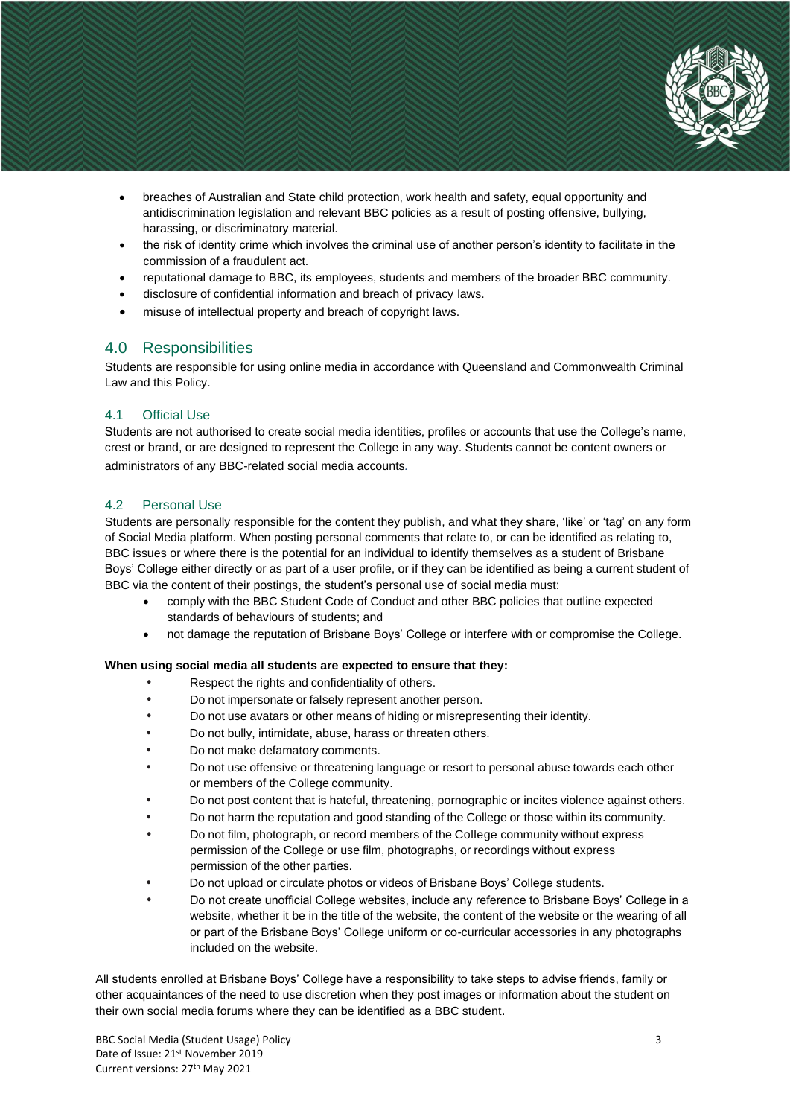

- breaches of Australian and State child protection, work health and safety, equal opportunity and antidiscrimination legislation and relevant BBC policies as a result of posting offensive, bullying, harassing, or discriminatory material.
- the risk of identity crime which involves the criminal use of another person's identity to facilitate in the commission of a fraudulent act.
- reputational damage to BBC, its employees, students and members of the broader BBC community.
- disclosure of confidential information and breach of privacy laws.
- misuse of intellectual property and breach of copyright laws.

#### 4.0 Responsibilities

Students are responsible for using online media in accordance with Queensland and Commonwealth Criminal Law and this Policy.

#### 4.1 Official Use

Students are not authorised to create social media identities, profiles or accounts that use the College's name, crest or brand, or are designed to represent the College in any way. Students cannot be content owners or administrators of any BBC-related social media accounts*.*

#### 4.2 Personal Use

Students are personally responsible for the content they publish, and what they share, 'like' or 'tag' on any form of Social Media platform. When posting personal comments that relate to, or can be identified as relating to, BBC issues or where there is the potential for an individual to identify themselves as a student of Brisbane Boys' College either directly or as part of a user profile, or if they can be identified as being a current student of BBC via the content of their postings, the student's personal use of social media must:

- comply with the BBC Student Code of Conduct and other BBC policies that outline expected standards of behaviours of students; and
- not damage the reputation of Brisbane Boys' College or interfere with or compromise the College.

#### **When using social media all students are expected to ensure that they:**

- **•** Respect the rights and confidentiality of others.
- **•** Do not impersonate or falsely represent another person.
- **•** Do not use avatars or other means of hiding or misrepresenting their identity.
- **•** Do not bully, intimidate, abuse, harass or threaten others.
- **•** Do not make defamatory comments.
- **•** Do not use offensive or threatening language or resort to personal abuse towards each other or members of the College community.
- **•** Do not post content that is hateful, threatening, pornographic or incites violence against others.
- **•** Do not harm the reputation and good standing of the College or those within its community.
- **•** Do not film, photograph, or record members of the College community without express permission of the College or use film, photographs, or recordings without express permission of the other parties.
- **•** Do not upload or circulate photos or videos of Brisbane Boys' College students.
- **•** Do not create unofficial College websites, include any reference to Brisbane Boys' College in a website, whether it be in the title of the website, the content of the website or the wearing of all or part of the Brisbane Boys' College uniform or co-curricular accessories in any photographs included on the website.

All students enrolled at Brisbane Boys' College have a responsibility to take steps to advise friends, family or other acquaintances of the need to use discretion when they post images or information about the student on their own social media forums where they can be identified as a BBC student.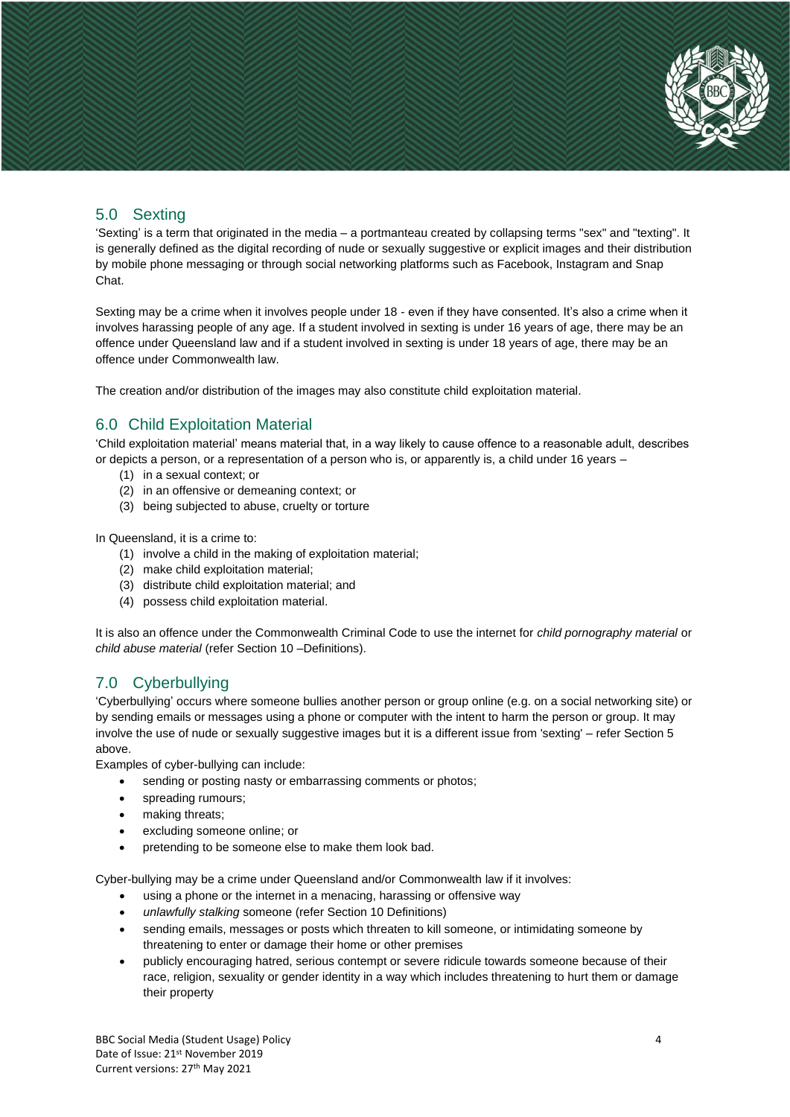

#### 5.0 Sexting

'Sexting' is a term that originated in the media – a portmanteau created by collapsing terms "sex" and "texting". It is generally defined as the digital recording of nude or sexually suggestive or explicit images and their distribution by mobile phone messaging or through social networking platforms such as Facebook, Instagram and Snap Chat.

Sexting may be a crime when it involves people under 18 - even if they have consented. It's also a crime when it involves harassing people of any age. If a student involved in sexting is under 16 years of age, there may be an offence under Queensland law and if a student involved in sexting is under 18 years of age, there may be an offence under Commonwealth law.

The creation and/or distribution of the images may also constitute child exploitation material.

## 6.0 Child Exploitation Material

'Child exploitation material' means material that, in a way likely to cause offence to a reasonable adult, describes or depicts a person, or a representation of a person who is, or apparently is, a child under 16 years –

- (1) in a sexual context; or
- (2) in an offensive or demeaning context; or
- (3) being subjected to abuse, cruelty or torture

In Queensland, it is a crime to:

- (1) involve a child in the making of exploitation material;
- (2) make child exploitation material;
- (3) distribute child exploitation material; and
- (4) possess child exploitation material.

It is also an offence under the Commonwealth Criminal Code to use the internet for *child pornography material* or *child abuse material* (refer Section 10 –Definitions).

## 7.0 Cyberbullying

'Cyberbullying' occurs where someone bullies another person or group online (e.g. on a social networking site) or by sending emails or messages using a phone or computer with the intent to harm the person or group. It may involve the use of nude or sexually suggestive images but it is a different issue from 'sexting' – refer Section 5 above.

Examples of cyber-bullying can include:

- sending or posting nasty or embarrassing comments or photos;
- spreading rumours:
- making threats;
- excluding someone online; or
- pretending to be someone else to make them look bad.

Cyber-bullying may be a crime under Queensland and/or Commonwealth law if it involves:

- using a phone or the internet in a menacing, harassing or offensive way
- *unlawfully stalking* someone (refer Section 10 Definitions)
- sending emails, messages or posts which threaten to kill someone, or intimidating someone by threatening to enter or damage their home or other premises
- publicly encouraging hatred, serious contempt or severe ridicule towards someone because of their race, religion, sexuality or gender identity in a way which includes threatening to hurt them or damage their property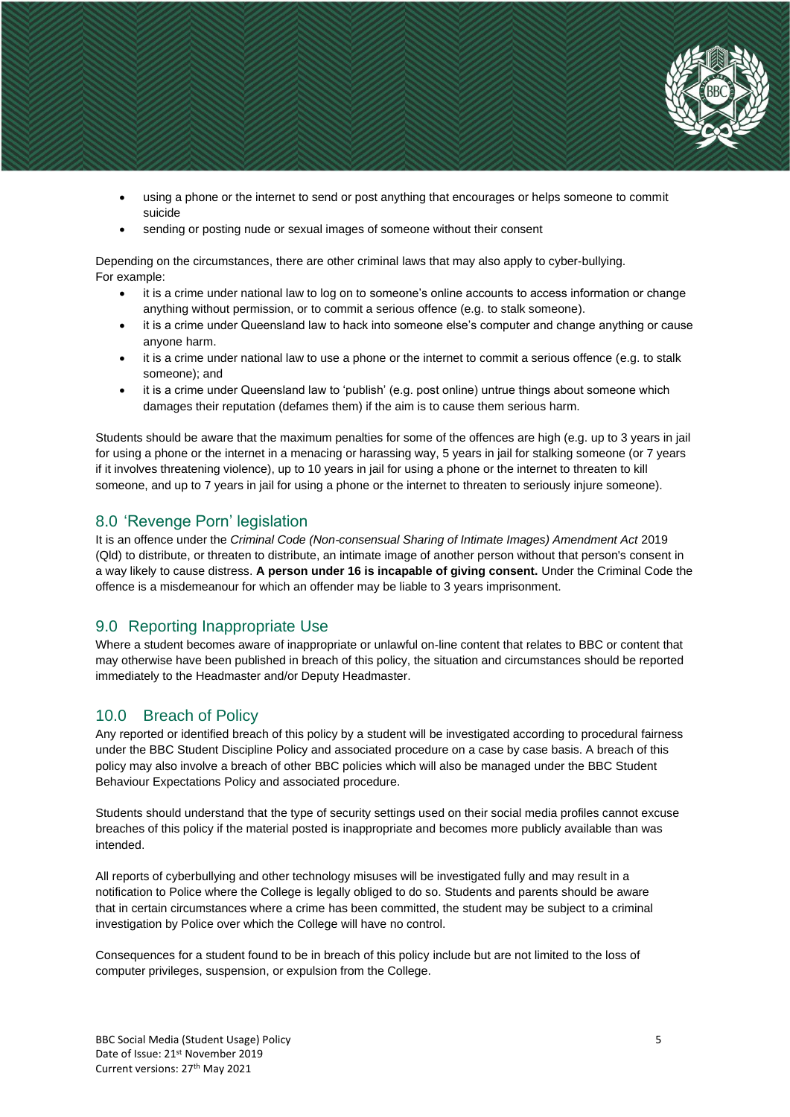

- using a phone or the internet to send or post anything that encourages or helps someone to commit suicide
- sending or posting nude or sexual images of someone without their consent

Depending on the circumstances, there are other criminal laws that may also apply to cyber-bullying. For example:

- it is a crime under national law to log on to someone's online accounts to access information or change anything without permission, or to commit a serious offence (e.g. to stalk someone).
- it is a crime under Queensland law to hack into someone else's computer and change anything or cause anyone harm.
- it is a crime under national law to use a phone or the internet to commit a serious offence (e.g. to stalk someone); and
- it is a crime under Queensland law to 'publish' (e.g. post online) untrue things about someone which damages their reputation (defames them) if the aim is to cause them serious harm.

Students should be aware that the maximum penalties for some of the offences are high (e.g. up to 3 years in jail for using a phone or the internet in a menacing or harassing way, 5 years in jail for stalking someone (or 7 years if it involves threatening violence), up to 10 years in jail for using a phone or the internet to threaten to kill someone, and up to 7 years in jail for using a phone or the internet to threaten to seriously injure someone).

#### 8.0 'Revenge Porn' legislation

It is an offence under the *Criminal Code (Non-consensual Sharing of Intimate Images) Amendment Act 2019* (Qld) to distribute, or threaten to distribute, an intimate image of another person without that person's consent in a way likely to cause distress. **A person under 16 is incapable of giving consent.** Under the Criminal Code the offence is a misdemeanour for which an offender may be liable to 3 years imprisonment.

#### 9.0 Reporting Inappropriate Use

Where a student becomes aware of inappropriate or unlawful on-line content that relates to BBC or content that may otherwise have been published in breach of this policy, the situation and circumstances should be reported immediately to the Headmaster and/or Deputy Headmaster.

#### 10.0 Breach of Policy

Any reported or identified breach of this policy by a student will be investigated according to procedural fairness under the BBC Student Discipline Policy and associated procedure on a case by case basis. A breach of this policy may also involve a breach of other BBC policies which will also be managed under the BBC Student Behaviour Expectations Policy and associated procedure.

Students should understand that the type of security settings used on their social media profiles cannot excuse breaches of this policy if the material posted is inappropriate and becomes more publicly available than was intended.

All reports of cyberbullying and other technology misuses will be investigated fully and may result in a notification to Police where the College is legally obliged to do so. Students and parents should be aware that in certain circumstances where a crime has been committed, the student may be subject to a criminal investigation by Police over which the College will have no control.

Consequences for a student found to be in breach of this policy include but are not limited to the loss of computer privileges, suspension, or expulsion from the College.